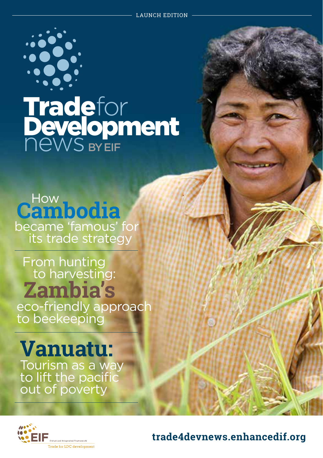

# Tradefor **Development NEWS BYEIF**

**Cambodia** became 'famous' for its trade strategy

**Zambia's** From hunting to harvesting: eco-friendly approach to beekeeping

**Vanuatu:** Tourism as a way to lift the pacific out of poverty



**trade4devnews.enhancedif.org**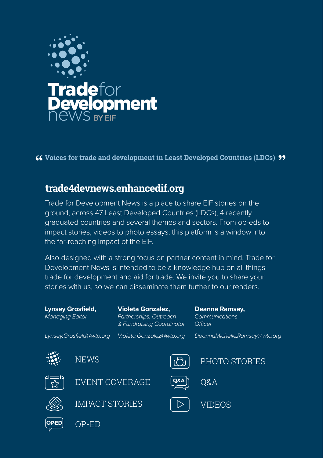

**Voices for trade and development in Least Developed Countries (LDCs)**

## **trade4devnews.enhancedif.org**

Trade for Development News is a place to share EIF stories on the ground, across 47 Least Developed Countries (LDCs), 4 recently graduated countries and several themes and sectors. From op-eds to impact stories, videos to photo essays, this platform is a window into the far-reaching impact of the EIF.

trade for development and aid for trade. We invite you to share your Also designed with a strong focus on partner content in mind, Trade for Development News is intended to be a knowledge hub on all things stories with us, so we can disseminate them further to our readers.

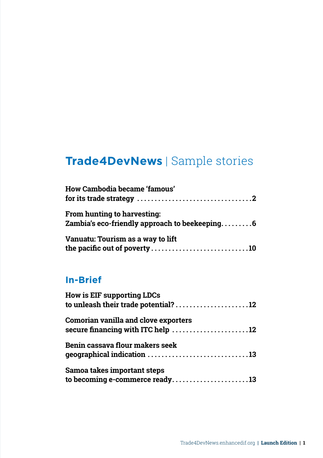## **Trade4DevNews** | Sample stories

| How Cambodia became 'famous'<br>for its trade strategy $\dots\dots\dots\dots\dots\dots\dots\dots\dots\dots\dots$ |  |
|------------------------------------------------------------------------------------------------------------------|--|
| From hunting to harvesting:<br>Zambia's eco-friendly approach to beekeeping6                                     |  |
| Vanuatu: Tourism as a way to lift<br>the pacific out of poverty 10                                               |  |

## **In-Brief**

| How is EIF supporting LDCs                  |  |
|---------------------------------------------|--|
| to unleash their trade potential?12         |  |
| <b>Comorian vanilla and clove exporters</b> |  |
| secure financing with ITC help 12           |  |
| Benin cassava flour makers seek             |  |
| geographical indication 13                  |  |
| Samoa takes important steps                 |  |
| to becoming e-commerce ready13              |  |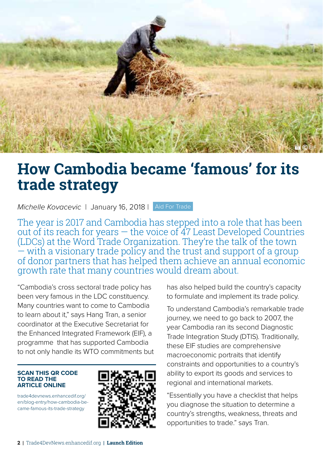<span id="page-3-0"></span>

## **How Cambodia became 'famous' for its trade strategy**

*Michelle Kovacevic* | January 16, 2018 | Aid For Trade

The year is 2017 and Cambodia has stepped into a role that has been out of its reach for years — the voice of 47 Least Developed Countries (LDCs) at the Word Trade Organization. They're the talk of the town  $-$  with a visionary trade policy and the trust and support of a group of donor partners that has helped them achieve an annual economic growth rate that many countries would dream about.

"Cambodia's cross sectoral trade policy has been very famous in the LDC constituency. Many countries want to come to Cambodia to learn about it," says Hang Tran, a senior coordinator at the Executive Secretariat for the Enhanced Integrated Framework (EIF), a programme that has supported Cambodia to not only handle its WTO commitments but

#### **SCAN THIS QR CODE TO READ THE ARTICLE ONLINE**

trade4devnews.enhancedif.org/ en/blog-entry/how-cambodia-became-famous-its-trade-strategy



has also helped build the country's capacity to formulate and implement its trade policy.

To understand Cambodia's remarkable trade journey, we need to go back to 2007, the year Cambodia ran its second Diagnostic Trade Integration Study (DTIS). Traditionally, these EIF studies are comprehensive macroeconomic portraits that identify constraints and opportunities to a country's ability to export its goods and services to regional and international markets.

"Essentially you have a checklist that helps you diagnose the situation to determine a country's strengths, weakness, threats and opportunities to trade." says Tran.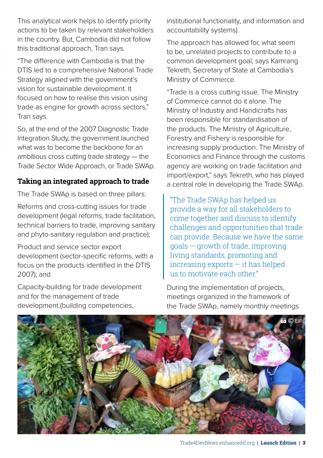This analytical work helps to identify priority actions to be taken by relevant stakeholders in the country. But, Cambodia did not follow this traditional approach, Tran says.

"The difference with Cambodia is that the DTIS led to a comprehensive National Trade Strategy aligned with the government's vision for sustainable development. It focused on how to realise this vision using trade as engine for growth across sectors," Tran says.

So, at the end of the 2007 Diagnostic Trade Integration Study, the government launched what was to become the backbone for an ambitious cross cutting trade strategy — the Trade Sector Wide Approach, or Trade SWAp.

### **Taking an integrated approach to trade**

The Trade SWAp is based on three pillars:

Reforms and cross-cutting issues for trade development (legal reforms, trade facilitation, technical barriers to trade, improving sanitary and phyto-sanitary regulation and practice);

Product and service sector export development (sector-specific reforms, with a focus on the products identified in the DTIS 2007); and

Capacity-building for trade development and for the management of trade development (building competencies,

institutional functionality, and information and accountability systems).

The approach has allowed for, what seem to be, unrelated projects to contribute to a common development goal, says Kamrang Tekreth, Secretary of State at Cambodia's Ministry of Commerce.

"Trade is a cross cutting issue. The Ministry of Commerce cannot do it alone. The Ministry of Industry and Handicrafts has been responsible for standardisation of the products. The Ministry of Agriculture, Forestry and Fishery is responsible for increasing supply production. The Ministry of Economics and Finance through the customs agency are working on trade facilitation and import/export," says Tekreth, who has played a central role in developing the Trade SWAp.

"The Trade SWAp has helped us provide a way for all stakeholders to come together and discuss to identify challenges and opportunities that trade can provide. Because we have the same goals — growth of trade, improving living standards, promoting and  $increasing$  exports  $-$  it has helped us to motivate each other."

During the implementation of projects, meetings organized in the framework of the Trade SWAp, namely monthly meetings

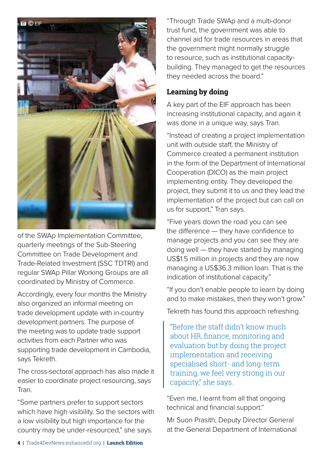

of the SWAp Implementation Committee, quarterly meetings of the Sub-Steering Committee on Trade Development and Trade-Related Investment (SSC TDTRI) and regular SWAp Pillar Working Groups are all coordinated by Ministry of Commerce.

Accordingly, every four months the Ministry also organized an informal meeting on trade development update with in-country development partners. The purpose of the meeting was to update trade support activities from each Partner who was supporting trade development in Cambodia, says Tekreth.

The cross-sectoral approach has also made it easier to coordinate project resourcing, says Tran.

"Some partners prefer to support sectors which have high visibility. So the sectors with a low visibility but high importance for the country may be under-resourced," she says.

"Through Trade SWAp and a multi-donor trust fund, the government was able to channel aid for trade resources in areas that the government might normally struggle to resource, such as institutional capacitybuilding. They managed to get the resources they needed across the board."

### **Learning by doing**

A key part of the EIF approach has been increasing institutional capacity, and again it was done in a unique way, says Tran.

"Instead of creating a project implementation unit with outside staff, the Ministry of Commerce created a permanent institution in the form of the Department of International Cooperation (DICO) as the main project implementing entity. They developed the project, they submit it to us and they lead the implementation of the project but can call on us for support," Tran says.

"Five years down the road you can see the difference — they have confidence to manage projects and you can see they are doing well — they have started by managing US\$1.5 million in projects and they are now managing a US\$36.3 million loan. That is the indication of institutional capacity."

"If you don't enable people to learn by doing and to make mistakes, then they won't grow."

Tekreth has found this approach refreshing.

"Before the staff didn't know much about HR, finance, monitoring and evaluation but by doing the project implementation and receiving specialised short- and long-term training, we feel very strong in our capacity," she says.

"Even me, I learnt from all that ongoing technical and financial support."

Mr Suon Prasith, Deputy Director General at the General Department of International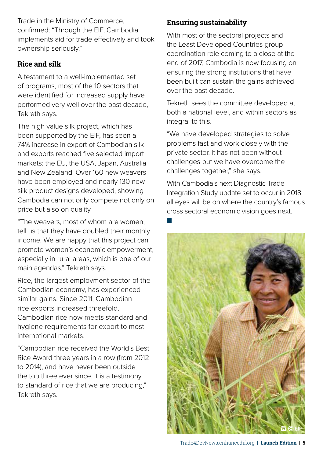Trade in the Ministry of Commerce, confirmed: "Through the EIF, Cambodia implements aid for trade effectively and took ownership seriously."

### **Rice and silk**

A testament to a well-implemented set of programs, most of the 10 sectors that were identified for increased supply have performed very well over the past decade, Tekreth says.

The high value silk project, which has been supported by the EIF, has seen a 74% increase in export of Cambodian silk and exports reached five selected import markets: the EU, the USA, Japan, Australia and New Zealand. Over 160 new weavers have been employed and nearly 130 new silk product designs developed, showing Cambodia can not only compete not only on price but also on quality.

"The weavers, most of whom are women, tell us that they have doubled their monthly income. We are happy that this project can promote women's economic empowerment, especially in rural areas, which is one of our main agendas," Tekreth says.

Rice, the largest employment sector of the Cambodian economy, has experienced similar gains. Since 2011, Cambodian rice exports increased threefold. Cambodian rice now meets standard and hygiene requirements for export to most international markets.

"Cambodian rice received the World's Best Rice Award three years in a row (from 2012 to 2014), and have never been outside the top three ever since. It is a testimony to standard of rice that we are producing," Tekreth says.

### **Ensuring sustainability**

With most of the sectoral projects and the Least Developed Countries group coordination role coming to a close at the end of 2017, Cambodia is now focusing on ensuring the strong institutions that have been built can sustain the gains achieved over the past decade.

Tekreth sees the committee developed at both a national level, and within sectors as integral to this.

"We have developed strategies to solve problems fast and work closely with the private sector. It has not been without challenges but we have overcome the challenges together," she says.

With Cambodia's next Diagnostic Trade Integration Study update set to occur in 2018, all eyes will be on where the country's famous cross sectoral economic vision goes next.



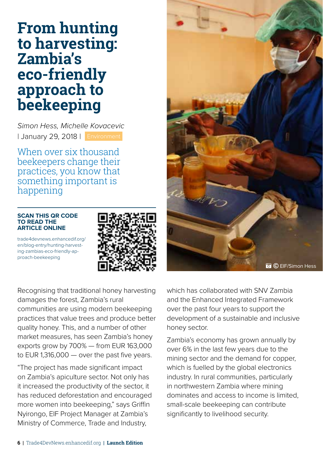## <span id="page-7-0"></span>**From hunting to harvesting: Zambia's eco-friendly approach to beekeeping**

*Simon Hess, Michelle Kovacevic* | January 29, 2018 | Environment

When over six thousand beekeepers change their practices, you know that something important is happening

#### **SCAN THIS QR CODE TO READ THE ARTICLE ONLINE**

trade4devnews.enhancedif.org/ en/blog-entry/hunting-harvesting-zambias-eco-friendly-approach-beekeeping



Recognising that traditional honey harvesting damages the forest, Zambia's rural communities are using modern beekeeping practices that value trees and produce better quality honey. This, and a number of other market measures, has seen Zambia's honey exports grow by 700% — from EUR 163,000 to EUR 1,316,000 — over the past five years.

"The project has made significant impact on Zambia's apiculture sector. Not only has it increased the productivity of the sector, it has reduced deforestation and encouraged more women into beekeeping," says Griffin Nyirongo, EIF Project Manager at Zambia's Ministry of Commerce, Trade and Industry,



which has collaborated with SNV Zambia and the Enhanced Integrated Framework over the past four years to support the development of a sustainable and inclusive honey sector.

Zambia's economy has grown annually by over 6% in the last few years due to the mining sector and the demand for copper, which is fuelled by the global electronics industry. In rural communities, particularly in northwestern Zambia where mining dominates and access to income is limited, small-scale beekeeping can contribute significantly to livelihood security.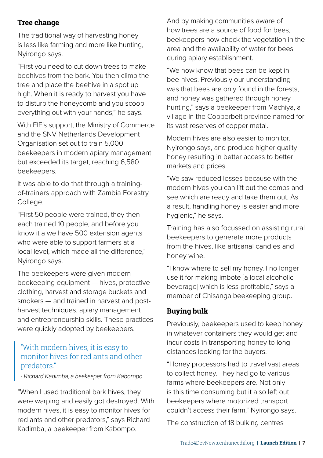### **Tree change**

The traditional way of harvesting honey is less like farming and more like hunting, Nyirongo says.

"First you need to cut down trees to make beehives from the bark. You then climb the tree and place the beehive in a spot up high. When it is ready to harvest you have to disturb the honeycomb and you scoop everything out with your hands," he says.

With EIF's support, the Ministry of Commerce and the SNV Netherlands Development Organisation set out to train 5,000 beekeepers in modern apiary management but exceeded its target, reaching 6,580 beekeepers.

It was able to do that through a trainingof-trainers approach with Zambia Forestry College.

"First 50 people were trained, they then each trained 10 people, and before you know it a we have 500 extension agents who were able to support farmers at a local level, which made all the difference," Nyirongo says.

The beekeepers were given modern beekeeping equipment — hives, protective clothing, harvest and storage buckets and smokers — and trained in harvest and postharvest techniques, apiary management and entrepreneurship skills. These practices were quickly adopted by beekeepers.

## "With modern hives, it is easy to monitor hives for red ants and other predators."

*- Richard Kadimba, a beekeeper from Kabompo*

"When I used traditional bark hives, they were warping and easily got destroyed. With modern hives, it is easy to monitor hives for red ants and other predators," says Richard Kadimba, a beekeeper from Kabompo.

And by making communities aware of how trees are a source of food for bees, beekeepers now check the vegetation in the area and the availability of water for bees during apiary establishment.

"We now know that bees can be kept in bee-hives. Previously our understanding was that bees are only found in the forests, and honey was gathered through honey hunting," says a beekeeper from Machiya, a village in the Copperbelt province named for its vast reserves of copper metal.

Modern hives are also easier to monitor, Nyirongo says, and produce higher quality honey resulting in better access to better markets and prices.

"We saw reduced losses because with the modern hives you can lift out the combs and see which are ready and take them out. As a result, handling honey is easier and more hygienic," he says.

Training has also focussed on assisting rural beekeepers to generate more products from the hives, like artisanal candles and honey wine.

"I know where to sell my honey. I no longer use it for making imbote [a local alcoholic beverage] which is less profitable," says a member of Chisanga beekeeping group.

## **Buying bulk**

Previously, beekeepers used to keep honey in whatever containers they would get and incur costs in transporting honey to long distances looking for the buyers.

"Honey processors had to travel vast areas to collect honey. They had go to various farms where beekeepers are. Not only is this time consuming but it also left out beekeepers where motorized transport couldn't access their farm," Nyirongo says.

The construction of 18 bulking centres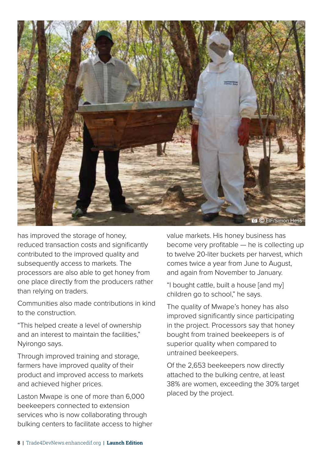

has improved the storage of honey, reduced transaction costs and significantly contributed to the improved quality and subsequently access to markets. The processors are also able to get honey from one place directly from the producers rather than relying on traders.

Communities also made contributions in kind to the construction.

"This helped create a level of ownership and an interest to maintain the facilities," Nyirongo says.

Through improved training and storage, farmers have improved quality of their product and improved access to markets and achieved higher prices.

Laston Mwape is one of more than 6,000 beekeepers connected to extension services who is now collaborating through bulking centers to facilitate access to higher value markets. His honey business has become very profitable — he is collecting up to twelve 20-liter buckets per harvest, which comes twice a year from June to August, and again from November to January.

"I bought cattle, built a house [and my] children go to school," he says.

The quality of Mwape's honey has also improved significantly since participating in the project. Processors say that honey bought from trained beekeepers is of superior quality when compared to untrained beekeepers.

Of the 2,653 beekeepers now directly attached to the bulking centre, at least 38% are women, exceeding the 30% target placed by the project.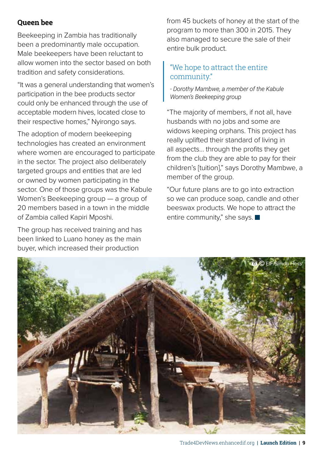### **Queen bee**

Beekeeping in Zambia has traditionally been a predominantly male occupation. Male beekeepers have been reluctant to allow women into the sector based on both tradition and safety considerations.

"It was a general understanding that women's participation in the bee products sector could only be enhanced through the use of acceptable modern hives, located close to their respective homes," Nyirongo says.

The adoption of modern beekeeping technologies has created an environment where women are encouraged to participate in the sector. The project also deliberately targeted groups and entities that are led or owned by women participating in the sector. One of those groups was the Kabule Women's Beekeeping group — a group of 20 members based in a town in the middle of Zambia called Kapiri Mposhi.

The group has received training and has been linked to Luano honey as the main buyer, which increased their production

from 45 buckets of honey at the start of the program to more than 300 in 2015. They also managed to secure the sale of their entire bulk product.

### "We hope to attract the entire community."

*- Dorothy Mambwe, a member of the Kabule Women's Beekeeping group*

"The majority of members, if not all, have husbands with no jobs and some are widows keeping orphans. This project has really uplifted their standard of living in all aspects… through the profits they get from the club they are able to pay for their children's [tuition]," says Dorothy Mambwe, a member of the group.

"Our future plans are to go into extraction so we can produce soap, candle and other beeswax products. We hope to attract the entire community," she says.

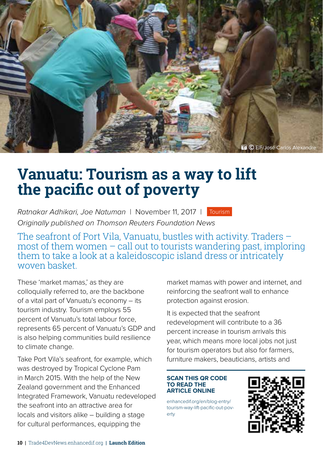<span id="page-11-0"></span>

## **Vanuatu: Tourism as a way to lift the pacific out of poverty**

*Ratnakar Adhikari, Joe Natuman* | November 11, 2017 | Tourism *Originally published on Thomson Reuters Foundation News*

The seafront of Port Vila, Vanuatu, bustles with activity. Traders – most of them women  $-$  call out to tourists wandering past, imploring them to take a look at a kaleidoscopic island dress or intricately woven basket.

These 'market mamas,' as they are colloquially referred to, are the backbone of a vital part of Vanuatu's economy – its tourism industry. Tourism employs 55 percent of Vanuatu's total labour force, represents 65 percent of Vanuatu's GDP and is also helping communities build resilience to climate change.

Take Port Vila's seafront, for example, which was destroyed by Tropical Cyclone Pam in March 2015. With the help of the New Zealand government and the Enhanced Integrated Framework, Vanuatu redeveloped the seafront into an attractive area for locals and visitors alike – building a stage for cultural performances, equipping the

market mamas with power and internet, and reinforcing the seafront wall to enhance protection against erosion.

It is expected that the seafront redevelopment will contribute to a 36 percent increase in tourism arrivals this year, which means more local jobs not just for tourism operators but also for farmers, furniture makers, beauticians, artists and

#### **SCAN THIS QR CODE TO READ THE ARTICLE ONLINE**

enhancedif.org/en/blog-entry/ tourism-way-lift-pacific-out-poverty

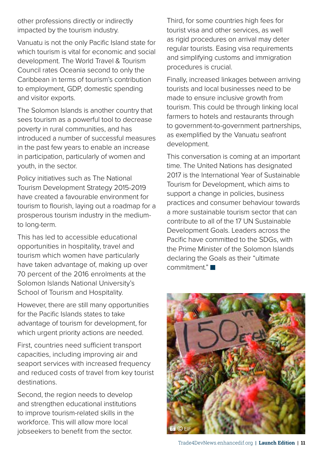other professions directly or indirectly impacted by the tourism industry.

Vanuatu is not the only Pacific Island state for which tourism is vital for economic and social development. The World Travel & Tourism Council rates Oceania second to only the Caribbean in terms of tourism's contribution to employment, GDP, domestic spending and visitor exports.

The Solomon Islands is another country that sees tourism as a powerful tool to decrease poverty in rural communities, and has introduced a number of successful measures in the past few years to enable an increase in participation, particularly of women and youth, in the sector.

Policy initiatives such as The National Tourism Development Strategy 2015-2019 have created a favourable environment for tourism to flourish, laying out a roadmap for a prosperous tourism industry in the mediumto long-term.

This has led to accessible educational opportunities in hospitality, travel and tourism which women have particularly have taken advantage of, making up over 70 percent of the 2016 enrolments at the Solomon Islands National University's School of Tourism and Hospitality.

However, there are still many opportunities for the Pacific Islands states to take advantage of tourism for development, for which urgent priority actions are needed.

First, countries need sufficient transport capacities, including improving air and seaport services with increased frequency and reduced costs of travel from key tourist destinations.

Second, the region needs to develop and strengthen educational institutions to improve tourism-related skills in the workforce. This will allow more local jobseekers to benefit from the sector.

Third, for some countries high fees for tourist visa and other services, as well as rigid procedures on arrival may deter regular tourists. Easing visa requirements and simplifying customs and immigration procedures is crucial.

Finally, increased linkages between arriving tourists and local businesses need to be made to ensure inclusive growth from tourism. This could be through linking local farmers to hotels and restaurants through to government-to-government partnerships, as exemplified by the Vanuatu seafront development.

This conversation is coming at an important time. The United Nations has designated 2017 is the International Year of Sustainable Tourism for Development, which aims to support a change in policies, business practices and consumer behaviour towards a more sustainable tourism sector that can contribute to all of the 17 UN Sustainable Development Goals. Leaders across the Pacific have committed to the SDGs, with the Prime Minister of the Solomon Islands declaring the Goals as their "ultimate commitment"

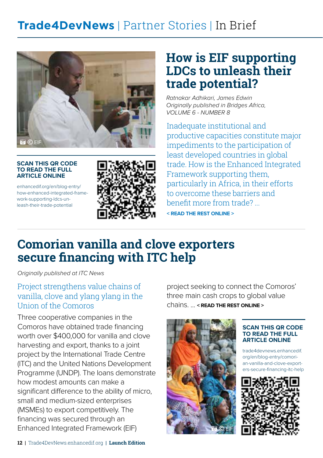## <span id="page-13-0"></span>**Trade4DevNews** | Partner Stories | In Brief



#### **SCAN THIS QR CODE TO READ THE FULL ARTICLE ONLINE**

enhancedif.org/en/blog-entry/ how-enhanced-integrated-framework-supporting-ldcs-unleash-their-trade-potential



## **How is EIF supporting LDCs to unleash their trade potential?**

*Ratnakar Adhikari, James Edwin Originally published in Bridges Africa, VOLUME 6 - NUMBER 8*

Inadequate institutional and productive capacities constitute major impediments to the participation of least developed countries in global trade. How is the Enhanced Integrated Framework supporting them, particularly in Africa, in their efforts to overcome these barriers and benefit more from trade? ... **< READ THE REST ONLINE >** 

## **Comorian vanilla and clove exporters secure financing with ITC help**

*Originally published at ITC News*

## Project strengthens value chains of vanilla, clove and ylang ylang in the Union of the Comoros

Three cooperative companies in the Comoros have obtained trade financing worth over \$400,000 for vanilla and clove harvesting and export, thanks to a joint project by the International Trade Centre (ITC) and the United Nations Development Programme (UNDP). The loans demonstrate how modest amounts can make a significant difference to the ability of micro, small and medium-sized enterprises (MSMEs) to export competitively. The financing was secured through an Enhanced Integrated Framework (EIF)

project seeking to connect the Comoros' three main cash crops to global value chains. ... **< READ THE REST ONLINE >** 



#### **SCAN THIS QR CODE TO READ THE FULL ARTICLE ONLINE**

trade4devnews.enhancedif. org/en/blog-entry/comorian-vanilla-and-clove-exporters-secure-financing-itc-help

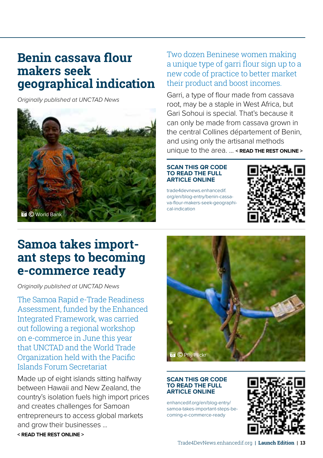## <span id="page-14-0"></span>**Benin cassava flour makers seek geographical indication**

*Originally published at UNCTAD News*



Two dozen Beninese women making a unique type of garri flour sign up to a new code of practice to better market their product and boost incomes.

Garri, a type of flour made from cassava root, may be a staple in West Africa, but Gari Sohoui is special. That's because it can only be made from cassava grown in the central Collines département of Benin, and using only the artisanal methods unique to the area. ... **< READ THE REST ONLINE >** 

#### **SCAN THIS QR CODE TO READ THE FULL ARTICLE ONLINE**

trade4devnews.enhancedif. org/en/blog-entry/benin-cassava-flour-makers-seek-geographical-indication



## **Samoa takes important steps to becoming e-commerce ready**

*Originally published at UNCTAD News*

The Samoa Rapid e-Trade Readiness Assessment, funded by the Enhanced Integrated Framework, was carried out following a regional workshop on e-commerce in June this year that UNCTAD and the World Trade Organization held with the Pacific Islands Forum Secretariat

Made up of eight islands sitting halfway between Hawaii and New Zealand, the country's isolation fuels high import prices and creates challenges for Samoan entrepreneurs to access global markets and grow their businesses ...

**< READ THE REST ONLINE >** 



#### **SCAN THIS QR CODE TO READ THE FULL ARTICLE ONLINE**

enhancedif.org/en/blog-entry/ samoa-takes-important-steps-becoming-e-commerce-ready